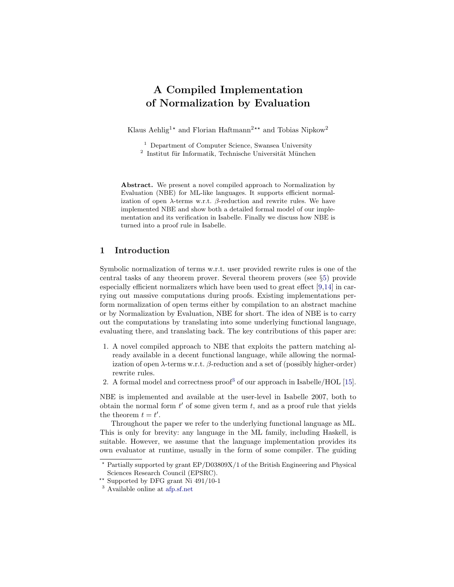# A Compiled Implementation of Normalization by Evaluation

Klaus Aehlig<sup>1\*</sup> and Florian Haftmann<sup>2\*\*</sup> and Tobias Nipkow<sup>2</sup>

<sup>1</sup> Department of Computer Science, Swansea University  $2$  Institut für Informatik, Technische Universität München

Abstract. We present a novel compiled approach to Normalization by Evaluation (NBE) for ML-like languages. It supports efficient normalization of open  $\lambda$ -terms w.r.t.  $\beta$ -reduction and rewrite rules. We have implemented NBE and show both a detailed formal model of our implementation and its verification in Isabelle. Finally we discuss how NBE is turned into a proof rule in Isabelle.

## 1 Introduction

Symbolic normalization of terms w.r.t. user provided rewrite rules is one of the central tasks of any theorem prover. Several theorem provers (see §[5\)](#page-13-0) provide especially efficient normalizers which have been used to great effect [\[9](#page-15-0)[,14\]](#page-15-1) in carrying out massive computations during proofs. Existing implementations perform normalization of open terms either by compilation to an abstract machine or by Normalization by Evaluation, NBE for short. The idea of NBE is to carry out the computations by translating into some underlying functional language, evaluating there, and translating back. The key contributions of this paper are:

- 1. A novel compiled approach to NBE that exploits the pattern matching already available in a decent functional language, while allowing the normalization of open  $\lambda$ -terms w.r.t.  $\beta$ -reduction and a set of (possibly higher-order) rewrite rules.
- 2. A formal model and correctness proof<sup>[3](#page-0-0)</sup> of our approach in Isabelle/HOL [\[15\]](#page-15-2).

NBE is implemented and available at the user-level in Isabelle 2007, both to obtain the normal form  $t'$  of some given term  $t$ , and as a proof rule that yields the theorem  $t = t'$ .

Throughout the paper we refer to the underlying functional language as ML. This is only for brevity: any language in the ML family, including Haskell, is suitable. However, we assume that the language implementation provides its own evaluator at runtime, usually in the form of some compiler. The guiding

<sup>?</sup> Partially supported by grant EP/D03809X/1 of the British Engineering and Physical Sciences Research Council (EPSRC).

 $**$  Supported by DFG grant Ni 491/10-1

<span id="page-0-0"></span><sup>3</sup> Available online at <afp.sf.net>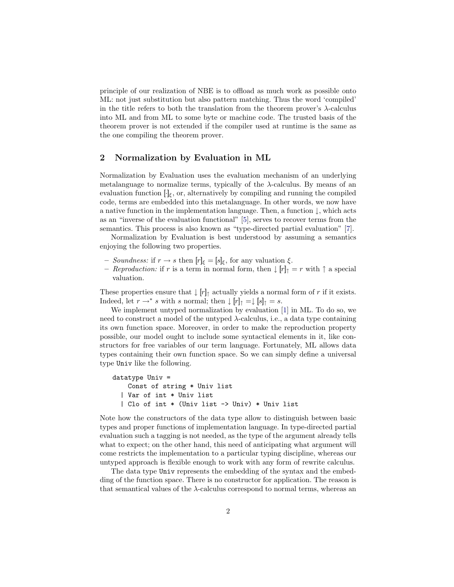principle of our realization of NBE is to offload as much work as possible onto ML: not just substitution but also pattern matching. Thus the word 'compiled' in the title refers to both the translation from the theorem prover's  $\lambda$ -calculus into ML and from ML to some byte or machine code. The trusted basis of the theorem prover is not extended if the compiler used at runtime is the same as the one compiling the theorem prover.

### <span id="page-1-0"></span>2 Normalization by Evaluation in ML

Normalization by Evaluation uses the evaluation mechanism of an underlying metalanguage to normalize terms, typically of the  $\lambda$ -calculus. By means of an evaluation function  $[\cdot]_{\varepsilon}$ , or, alternatively by compiling and running the compiled code, terms are embedded into this metalanguage. In other words, we now have a native function in the implementation language. Then, a function  $\downarrow$ , which acts as an "inverse of the evaluation functional" [\[5\]](#page-15-3), serves to recover terms from the semantics. This process is also known as "type-directed partial evaluation" [\[7\]](#page-15-4).

Normalization by Evaluation is best understood by assuming a semantics enjoying the following two properties.

- Soundness: if  $r \to s$  then  $[r]_\xi = [s]_\xi$ , for any valuation  $\xi$ .
- Reproduction: if r is a term in normal form, then  $\downarrow$   $[r]$ <sup> $\uparrow$ </sup> = r with  $\uparrow$  a special valuation.

These properties ensure that  $\downarrow$   $[r]$ <sup> $\uparrow$ </sup> actually yields a normal form of r if it exists. Indeed, let  $r \to^* s$  with s normal; then  $\downarrow [r]_{\uparrow} = \downarrow [s]_{\uparrow} = s$ .

We implement untyped normalization by evaluation [\[1\]](#page-14-0) in ML. To do so, we need to construct a model of the untyped  $\lambda$ -calculus, i.e., a data type containing its own function space. Moreover, in order to make the reproduction property possible, our model ought to include some syntactical elements in it, like constructors for free variables of our term language. Fortunately, ML allows data types containing their own function space. So we can simply define a universal type Univ like the following.

```
datatype Univ =
    Const of string * Univ list
  | Var of int * Univ list
  | Clo of int * (Univ list -> Univ) * Univ list
```
Note how the constructors of the data type allow to distinguish between basic types and proper functions of implementation language. In type-directed partial evaluation such a tagging is not needed, as the type of the argument already tells what to expect; on the other hand, this need of anticipating what argument will come restricts the implementation to a particular typing discipline, whereas our untyped approach is flexible enough to work with any form of rewrite calculus.

The data type Univ represents the embedding of the syntax and the embedding of the function space. There is no constructor for application. The reason is that semantical values of the  $\lambda$ -calculus correspond to normal terms, whereas an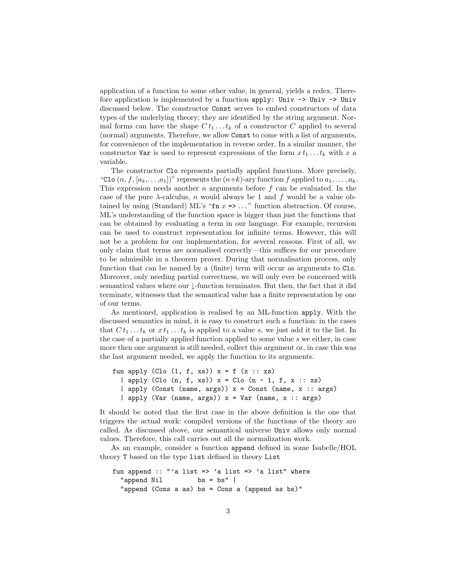application of a function to some other value, in general, yields a redex. Therefore application is implemented by a function apply: Univ  $\rightarrow$  Univ  $\rightarrow$  Univ discussed below. The constructor Const serves to embed constructors of data types of the underlying theory; they are identified by the string argument. Normal forms can have the shape  $C t_1 \ldots t_k$  of a constructor C applied to several (normal) arguments. Therefore, we allow Const to come with a list of arguments, for convenience of the implementation in reverse order. In a similar manner, the constructor Var is used to represent expressions of the form  $x t_1 \dots t_k$  with x a variable.

The constructor Clo represents partially applied functions. More precisely, "Clo  $(n, f, [a_k, \ldots, a_1])$ " represents the  $(n+k)$ -ary function f applied to  $a_1, \ldots, a_k$ . This expression needs another  $n$  arguments before  $f$  can be evaluated. In the case of the pure  $\lambda$ -calculus, n would always be 1 and f would be a value obtained by using (Standard) ML's "fn  $x \Rightarrow \dots$ " function abstraction. Of course, ML's understanding of the function space is bigger than just the functions that can be obtained by evaluating a term in our language. For example, recursion can be used to construct representation for infinite terms. However, this will not be a problem for our implementation, for several reasons. First of all, we only claim that terms are normalised correctly—this suffices for our procedure to be admissible in a theorem prover. During that normalisation process, only function that can be named by a (finite) term will occur as arguments to Clo. Moreover, only needing partial correctness, we will only ever be concerned with semantical values where our  $\downarrow$ -function terminates. But then, the fact that it did terminate, witnesses that the semantical value has a finite representation by one of our terms.

As mentioned, application is realised by an ML-function apply. With the discussed semantics in mind, it is easy to construct such a function: in the cases that  $C t_1 \ldots t_k$  or  $x t_1 \ldots t_k$  is applied to a value s, we just add it to the list. In the case of a partially applied function applied to some value s we either, in case more then one argument is still needed, collect this argument or, in case this was the last argument needed, we apply the function to its arguments.

```
fun apply (Clo (1, f, xs)) x = f(x :: xs)| apply (Clo (n, f, xs)) x = Clo (n - 1, f, x :: xs)| apply (Const (name, args)) x = Const (name, x : args)
  | apply (Var (name, args)) x = Var (name, x :: args)
```
It should be noted that the first case in the above definition is the one that triggers the actual work: compiled versions of the functions of the theory are called. As discussed above, our semantical universe Univ allows only normal values. Therefore, this call carries out all the normalization work.

As an example, consider a function append defined in some Isabelle/HOL theory T based on the type list defined in theory List

```
fun append :: "'a list => 'a list => 'a list" where
  "append Nil bs = bs" |
  "append (Cons a as) bs = Cons a (append as bs)"
```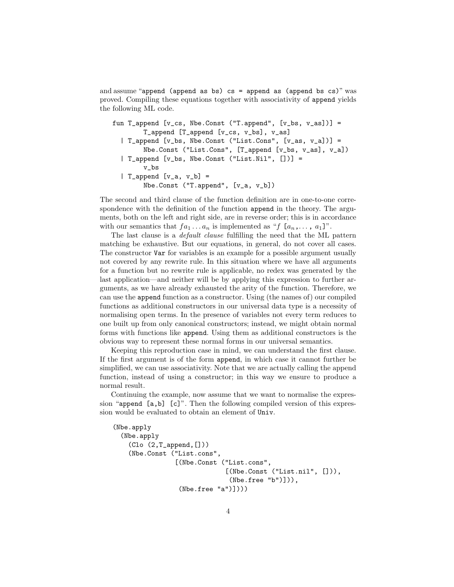and assume "append (append as  $bs$ ) cs = append as (append bs cs)" was proved. Compiling these equations together with associativity of append yields the following ML code.

```
fun T_append [v_c, Nbe.Const ("T.append", [v_b, v_a, v_a])] =
         T_append [T_append [v_cs, v_bs], v_as]
  | T_append [v_bs, Nbe.Const ("List.Cons", [v_as, v_a])] =
         Nbe.Const ("List.Cons", [T_append [v_bs, v_as], v_a])
  | T_append [v_bs, Nbe.Const ("List.Nil", [])] =
         v_bs
  [T_{\text{append }[v_{\text{a}}, v_{\text{b}}] =Nbe.Const ("T.append", [v_a, v_b])
```
The second and third clause of the function definition are in one-to-one correspondence with the definition of the function append in the theory. The arguments, both on the left and right side, are in reverse order; this is in accordance with our semantics that  $fa_1 \ldots a_n$  is implemented as " $f$  [ $a_n, \ldots, a_1$ ]".

The last clause is a *default clause* fulfilling the need that the ML pattern matching be exhaustive. But our equations, in general, do not cover all cases. The constructor Var for variables is an example for a possible argument usually not covered by any rewrite rule. In this situation where we have all arguments for a function but no rewrite rule is applicable, no redex was generated by the last application—and neither will be by applying this expression to further arguments, as we have already exhausted the arity of the function. Therefore, we can use the append function as a constructor. Using (the names of) our compiled functions as additional constructors in our universal data type is a necessity of normalising open terms. In the presence of variables not every term reduces to one built up from only canonical constructors; instead, we might obtain normal forms with functions like append. Using them as additional constructors is the obvious way to represent these normal forms in our universal semantics.

Keeping this reproduction case in mind, we can understand the first clause. If the first argument is of the form append, in which case it cannot further be simplified, we can use associativity. Note that we are actually calling the append function, instead of using a constructor; in this way we ensure to produce a normal result.

Continuing the example, now assume that we want to normalise the expression "append [a,b] [c]". Then the following compiled version of this expression would be evaluated to obtain an element of Univ.

```
(Nbe.apply
  (Nbe.apply
    (Clo (2,T_append,[]))
    (Nbe.Const ("List.cons",
                 [(Nbe.Const ("List.cons",
                               [(\text{Nbe.Const ('List.nil', []})),(Nbe.free "b")])),
                  (Nbe.free "a")])))
```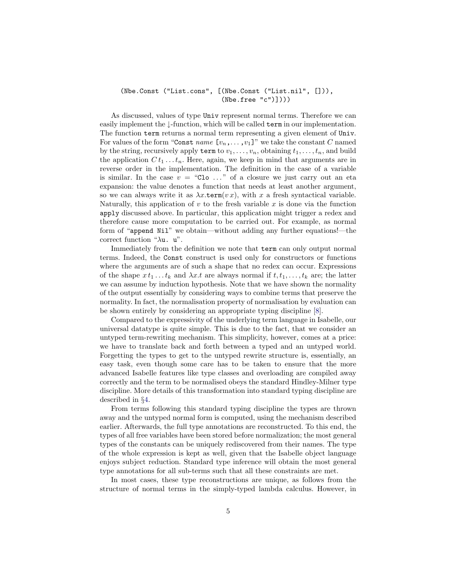### (Nbe.Const ("List.cons", [(Nbe.Const ("List.nil", [])), (Nbe.free "c")])))

As discussed, values of type Univ represent normal terms. Therefore we can easily implement the ↓-function, which will be called term in our implementation. The function term returns a normal term representing a given element of Univ. For values of the form "Const name  $[v_n, \ldots, v_1]$ " we take the constant C named by the string, recursively apply term to  $v_1, \ldots, v_n$ , obtaining  $t_1, \ldots, t_n$ , and build the application  $C t_1 \ldots t_n$ . Here, again, we keep in mind that arguments are in reverse order in the implementation. The definition in the case of a variable is similar. In the case  $v =$  "Clo ..." of a closure we just carry out an eta expansion: the value denotes a function that needs at least another argument, so we can always write it as  $\lambda x$ .term(v x), with x a fresh syntactical variable. Naturally, this application of  $v$  to the fresh variable  $x$  is done via the function apply discussed above. In particular, this application might trigger a redex and therefore cause more computation to be carried out. For example, as normal form of "append Nil" we obtain—without adding any further equations!—the correct function "λu. u".

Immediately from the definition we note that term can only output normal terms. Indeed, the Const construct is used only for constructors or functions where the arguments are of such a shape that no redex can occur. Expressions of the shape  $x t_1 \dots t_k$  and  $\lambda x.t$  are always normal if  $t, t_1, \dots, t_k$  are; the latter we can assume by induction hypothesis. Note that we have shown the normality of the output essentially by considering ways to combine terms that preserve the normality. In fact, the normalisation property of normalisation by evaluation can be shown entirely by considering an appropriate typing discipline [\[8\]](#page-15-5).

Compared to the expressivity of the underlying term language in Isabelle, our universal datatype is quite simple. This is due to the fact, that we consider an untyped term-rewriting mechanism. This simplicity, however, comes at a price: we have to translate back and forth between a typed and an untyped world. Forgetting the types to get to the untyped rewrite structure is, essentially, an easy task, even though some care has to be taken to ensure that the more advanced Isabelle features like type classes and overloading are compiled away correctly and the term to be normalised obeys the standard Hindley-Milner type discipline. More details of this transformation into standard typing discipline are described in §[4.](#page-11-0)

From terms following this standard typing discipline the types are thrown away and the untyped normal form is computed, using the mechanism described earlier. Afterwards, the full type annotations are reconstructed. To this end, the types of all free variables have been stored before normalization; the most general types of the constants can be uniquely rediscovered from their names. The type of the whole expression is kept as well, given that the Isabelle object language enjoys subject reduction. Standard type inference will obtain the most general type annotations for all sub-terms such that all these constraints are met.

In most cases, these type reconstructions are unique, as follows from the structure of normal terms in the simply-typed lambda calculus. However, in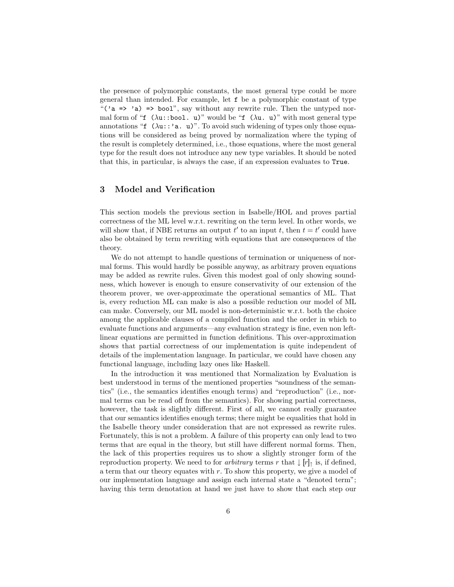the presence of polymorphic constants, the most general type could be more general than intended. For example, let f be a polymorphic constant of type "('a  $\Rightarrow$  'a)  $\Rightarrow$  bool", say without any rewrite rule. Then the untyped normal form of "f  $(\lambda u: :bool. u)$ " would be "f  $(\lambda u. u)$ " with most general type annotations "f  $(\lambda u: : 'a. u)$ ". To avoid such widening of types only those equations will be considered as being proved by normalization where the typing of the result is completely determined, i.e., those equations, where the most general type for the result does not introduce any new type variables. It should be noted that this, in particular, is always the case, if an expression evaluates to True.

### 3 Model and Verification

This section models the previous section in Isabelle/HOL and proves partial correctness of the ML level w.r.t. rewriting on the term level. In other words, we will show that, if NBE returns an output  $t'$  to an input t, then  $t = t'$  could have also be obtained by term rewriting with equations that are consequences of the theory.

We do not attempt to handle questions of termination or uniqueness of normal forms. This would hardly be possible anyway, as arbitrary proven equations may be added as rewrite rules. Given this modest goal of only showing soundness, which however is enough to ensure conservativity of our extension of the theorem prover, we over-approximate the operational semantics of ML. That is, every reduction ML can make is also a possible reduction our model of ML can make. Conversely, our ML model is non-deterministic w.r.t. both the choice among the applicable clauses of a compiled function and the order in which to evaluate functions and arguments—any evaluation strategy is fine, even non leftlinear equations are permitted in function definitions. This over-approximation shows that partial correctness of our implementation is quite independent of details of the implementation language. In particular, we could have chosen any functional language, including lazy ones like Haskell.

In the introduction it was mentioned that Normalization by Evaluation is best understood in terms of the mentioned properties "soundness of the semantics" (i.e., the semantics identifies enough terms) and "reproduction" (i.e., normal terms can be read off from the semantics). For showing partial correctness, however, the task is slightly different. First of all, we cannot really guarantee that our semantics identifies enough terms; there might be equalities that hold in the Isabelle theory under consideration that are not expressed as rewrite rules. Fortunately, this is not a problem. A failure of this property can only lead to two terms that are equal in the theory, but still have different normal forms. Then, the lack of this properties requires us to show a slightly stronger form of the reproduction property. We need to for *arbitrary* terms r that  $\int [r]_1$  is, if defined, a term that our theory equates with r. To show this property, we give a model of our implementation language and assign each internal state a "denoted term"; having this term denotation at hand we just have to show that each step our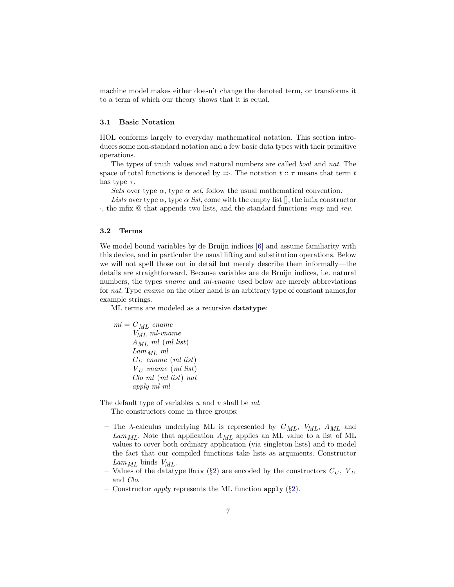machine model makes either doesn't change the denoted term, or transforms it to a term of which our theory shows that it is equal.

### 3.1 Basic Notation

HOL conforms largely to everyday mathematical notation. This section introduces some non-standard notation and a few basic data types with their primitive operations.

The types of truth values and natural numbers are called bool and nat. The space of total functions is denoted by  $\Rightarrow$ . The notation  $t :: \tau$  means that term t has type  $\tau$ .

Sets over type  $\alpha$ , type  $\alpha$  set, follow the usual mathematical convention.

Lists over type  $\alpha$ , type  $\alpha$  list, come with the empty list  $[]$ , the infix constructor ·, the infix @ that appends two lists, and the standard functions map and rev.

### 3.2 Terms

We model bound variables by de Bruijn indices [\[6\]](#page-15-6) and assume familiarity with this device, and in particular the usual lifting and substitution operations. Below we will not spell those out in detail but merely describe them informally—the details are straightforward. Because variables are de Bruijn indices, i.e. natural numbers, the types *vname* and *ml-vname* used below are merely abbreviations for nat. Type cname on the other hand is an arbitrary type of constant names,for example strings.

ML terms are modeled as a recursive datatype:

 $ml = C_{ML}$  cname  $| V_{ML} \ m l$ -vname  $A_{ML}$  ml (ml list)  $Lam_{ML}$  ml  $C_U$  cname (ml list)  $V_U$  vname (ml list) | Clo ml (ml list) nat | apply ml ml

The default type of variables  $u$  and  $v$  shall be  $ml$ . The constructors come in three groups:

- The  $\lambda$ -calculus underlying ML is represented by  $C_{ML}$ ,  $V_{ML}$ ,  $A_{ML}$  and  $Lam_{ML}$ . Note that application  $A_{ML}$  applies an ML value to a list of ML values to cover both ordinary application (via singleton lists) and to model the fact that our compiled functions take lists as arguments. Constructor  $Lam_{ML}$  binds  $V_{ML}$ .
- Values of the datatype Univ (§[2\)](#page-1-0) are encoded by the constructors  $C_U$ ,  $V_U$ and Clo.
- Constructor *apply* represents the ML function apply  $(\S2)$  $(\S2)$ .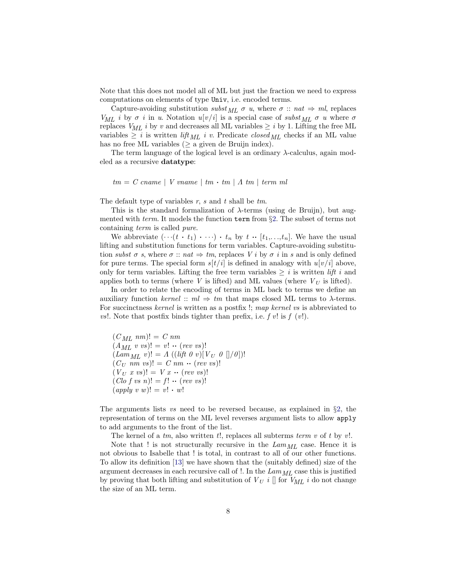Note that this does not model all of ML but just the fraction we need to express computations on elements of type Univ, i.e. encoded terms.

Capture-avoiding substitution subst<sub>ML</sub>  $\sigma$  u, where  $\sigma$  :: nat  $\Rightarrow$  ml, replaces  $V_{ML}$  i by  $\sigma$  i in u. Notation  $u[v/i]$  is a special case of subst<sub>ML</sub>  $\sigma$  u where  $\sigma$ replaces  $V_{ML}$  *i* by v and decreases all ML variables  $\geq i$  by 1. Lifting the free ML variables  $\geq i$  is written *lift<sub>ML</sub>* i v. Predicate closed<sub>ML</sub> checks if an ML value has no free ML variables ( $\geq$  a given de Bruijn index).

The term language of the logical level is an ordinary  $\lambda$ -calculus, again modeled as a recursive datatype:

$$
tm = C
$$
 *chame* | *V vanme* | *tm* · *tm* | *A tm* | *term ml*

The default type of variables r, s and t shall be  $tm$ .

This is the standard formalization of  $\lambda$ -terms (using de Bruijn), but augmented with *term*. It models the function  $\tan \t \frac{2}{3}$ . The subset of terms not containing term is called pure.

We abbreviate  $(\cdots(t \cdot t_1) \cdot \cdots) \cdot t_n$  by  $t \cdot [t_1, \ldots, t_n]$ . We have the usual lifting and substitution functions for term variables. Capture-avoiding substitution subst  $\sigma$  s, where  $\sigma$  :: nat  $\Rightarrow$  tm, replaces V i by  $\sigma$  i in s and is only defined for pure terms. The special form  $s[t/i]$  is defined in analogy with  $u[v/i]$  above, only for term variables. Lifting the free term variables  $\geq i$  is written *lift i* and applies both to terms (where  $V$  is lifted) and ML values (where  $V_U$  is lifted).

In order to relate the encoding of terms in ML back to terms we define an auxiliary function kernel ::  $ml \Rightarrow tm$  that maps closed ML terms to  $\lambda$ -terms. For succinctness kernel is written as a postfix !; map kernel vs is abbreviated to vs!. Note that postfix binds tighter than prefix, i.e.  $f v!$  is  $f (v!)$ .

 $(C_{ML}$  nm)! =  $C$  nm  $(A_{ML}$  v vs)! = v!  $\cdot \cdot$  (rev vs)!  $(Lam_{ML} v)! = A ((lift \space 0 \space v) [V_U \space 0 \space ||/0])!$  $(C_U \nmtext{ vs})! = C \nmtext{ ... (rev vs)!}$  $(V_U x vs)! = V x \cdot (rev vs)!$  $(Clo f vs n)! = f! \cdot (rev vs)!$  $(\alpha pply \ v \ w)! = v! \cdot w!$ 

The arguments lists vs need to be reversed because, as explained in  $\S$ , the representation of terms on the ML level reverses argument lists to allow apply to add arguments to the front of the list.

The kernel of a  $tm$ , also written  $t!$ , replaces all subterms  $term\ v$  of  $t$  by  $v!$ .

Note that ! is not structurally recursive in the  $Lam_{ML}$  case. Hence it is not obvious to Isabelle that ! is total, in contrast to all of our other functions. To allow its definition [\[13\]](#page-15-7) we have shown that the (suitably defined) size of the argument decreases in each recursive call of  $\ln \ln \ln \text{Lam}_{ML}$  case this is justified by proving that both lifting and substitution of  $V_U$  i [] for  $V_{ML}$  i do not change the size of an ML term.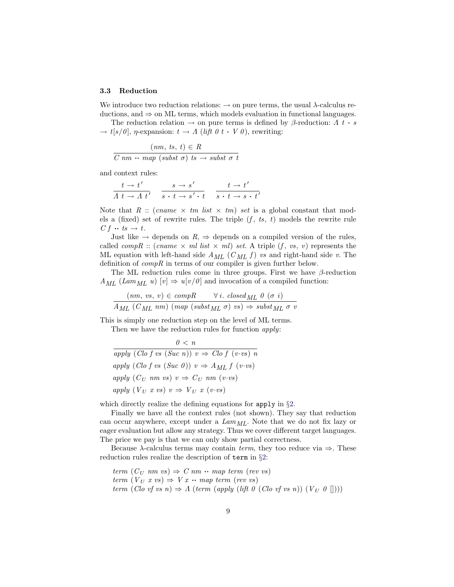#### 3.3 Reduction

We introduce two reduction relations:  $\rightarrow$  on pure terms, the usual  $\lambda$ -calculus reductions, and  $\Rightarrow$  on ML terms, which models evaluation in functional languages.

The reduction relation  $\rightarrow$  on pure terms is defined by  $\beta$ -reduction:  $\Lambda t \cdot s$  $\rightarrow t[s/\theta], \eta$ -expansion:  $t \rightarrow A$  (lift  $\theta$   $t \cdot V \theta$ ), rewriting:

$$
(nm, ts, t) \in R
$$
  

$$
C \ nm \cdots \ map \ (subset \ \sigma) \ ts \rightarrow \ \text{subst} \ \sigma \ t
$$

and context rules:

$$
\frac{t \to t'}{\Lambda t \to \Lambda t'} \quad \frac{s \to s'}{s \cdot t \to s' \cdot t} \quad \frac{t \to t'}{s \cdot t \to s \cdot t'}
$$

Note that R :: (cname  $\times$  tm list  $\times$  tm) set is a global constant that models a (fixed) set of rewrite rules. The triple  $(f, ts, t)$  models the rewrite rule  $C f \cdots ts \rightarrow t$ .

Just like  $\rightarrow$  depends on  $R$ ,  $\Rightarrow$  depends on a compiled version of the rules, called *compR* :: (*cname*  $\times$  *ml list*  $\times$  *ml*) *set*. A triple (*f*, *vs*, *v*) represents the ML equation with left-hand side  $A_{ML}$  ( $C_{ML}$  f) vs and right-hand side v. The definition of  $compR$  in terms of our compiler is given further below.

The ML reduction rules come in three groups. First we have  $\beta$ -reduction  $A_{ML}$  (Lam<sub>ML</sub> u)  $[v] \Rightarrow u[v/\theta]$  and invocation of a compiled function:

| $(nm, vs, v) \in compR$ | $\forall i. closed_{ML} 0 (\sigma i)$                                                                               |
|-------------------------|---------------------------------------------------------------------------------------------------------------------|
|                         | $A_{ML}$ (C <sub>ML</sub> nm) (map (subst <sub>ML</sub> $\sigma$ ) vs) $\Rightarrow$ subst <sub>ML</sub> $\sigma$ v |

This is simply one reduction step on the level of ML terms. Then we have the reduction rules for function *apply*:

| $0 \leq n$                                                           |
|----------------------------------------------------------------------|
| apply (Clo f vs (Suc n)) $v \Rightarrow$ Clo f (v·vs) n              |
| apply (Clo f vs (Suc 0)) $v \Rightarrow A_{ML} f (v \cdot vs)$       |
| apply $(C_U \nmtext{ vs}) v \Rightarrow C_U \nmtext{ (} v \cdot vs)$ |
| apply $(V_U x vs) v \Rightarrow V_U x (v \cdot vs)$                  |

which directly realize the defining equations for apply in  $\S2$ .

Finally we have all the context rules (not shown). They say that reduction can occur anywhere, except under a  $Lam_{ML}$ . Note that we do not fix lazy or eager evaluation but allow any strategy. Thus we cover different target languages. The price we pay is that we can only show partial correctness.

Because  $\lambda$ -calculus terms may contain *term*, they too reduce via  $\Rightarrow$ . These reduction rules realize the description of term in §[2:](#page-1-0)

term  $(C_U \nmtext{ vs}) \Rightarrow C \nmtext{ w map term (rev vs)}$ term  $(V_U x vs) \Rightarrow V x \cdots map \text{ term } (rev vs)$ term (Clo vf vs n)  $\Rightarrow$  Λ (term (apply (lift 0 (Clo vf vs n)) (V<sub>U</sub> 0 [])))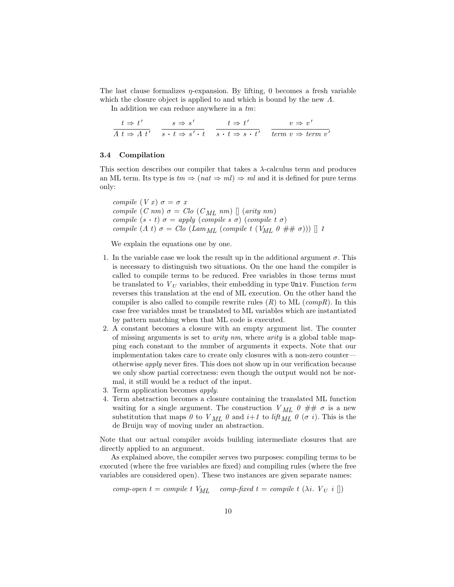The last clause formalizes  $\eta$ -expansion. By lifting, 0 becomes a fresh variable which the closure object is applied to and which is bound by the new  $\Lambda$ .

In addition we can reduce anywhere in a tm:

| $t \Rightarrow t'$ | $s \Rightarrow s'$ | $t \Rightarrow t'$ | $v \Rightarrow v'$                                                                                                                              |
|--------------------|--------------------|--------------------|-------------------------------------------------------------------------------------------------------------------------------------------------|
|                    |                    |                    | $A t \Rightarrow A t'$ $s \cdot t \Rightarrow s' \cdot t$ $s \cdot t \Rightarrow s \cdot t'$ $t \text{ term } v \Rightarrow t \text{ term } v'$ |

### <span id="page-9-0"></span>3.4 Compilation

This section describes our compiler that takes a  $\lambda$ -calculus term and produces an ML term. Its type is  $tm \Rightarrow (nat \Rightarrow ml) \Rightarrow ml$  and it is defined for pure terms only:

```
compile (V x) \sigma = \sigma xcompile (C \ nm) \ \sigma = Clo \ (C_{ML} \ nm) \ [] \ (arity \ nm)compile (s \cdot t) \sigma = apply (compile s \sigma) (compile t \sigma)
compile (\Lambda t) \sigma = Clo (Lam_{ML} (compile t (V_{ML} 0 # # \sigma))) [] 1
```
We explain the equations one by one.

- 1. In the variable case we look the result up in the additional argument  $\sigma$ . This is necessary to distinguish two situations. On the one hand the compiler is called to compile terms to be reduced. Free variables in those terms must be translated to  $V_U$  variables, their embedding in type Univ. Function term reverses this translation at the end of ML execution. On the other hand the compiler is also called to compile rewrite rules  $(R)$  to ML (compR). In this case free variables must be translated to ML variables which are instantiated by pattern matching when that ML code is executed.
- 2. A constant becomes a closure with an empty argument list. The counter of missing arguments is set to *arity nm*, where *arity* is a global table mapping each constant to the number of arguments it expects. Note that our implementation takes care to create only closures with a non-zero counter otherwise apply never fires. This does not show up in our verification because we only show partial correctness: even though the output would not be normal, it still would be a reduct of the input.
- 3. Term application becomes apply.
- 4. Term abstraction becomes a closure containing the translated ML function waiting for a single argument. The construction  $V_{ML}$   $\theta$  ##  $\sigma$  is a new substitution that maps 0 to  $V_{ML}$  0 and  $i+1$  to lift<sub>ML</sub> 0 ( $\sigma$  i). This is the de Bruijn way of moving under an abstraction.

Note that our actual compiler avoids building intermediate closures that are directly applied to an argument.

As explained above, the compiler serves two purposes: compiling terms to be executed (where the free variables are fixed) and compiling rules (where the free variables are considered open). These two instances are given separate names:

comp-open  $t =$  compile t  $V_{ML}$  comp-fixed  $t =$  compile t  $(\lambda i. V_U i ||)$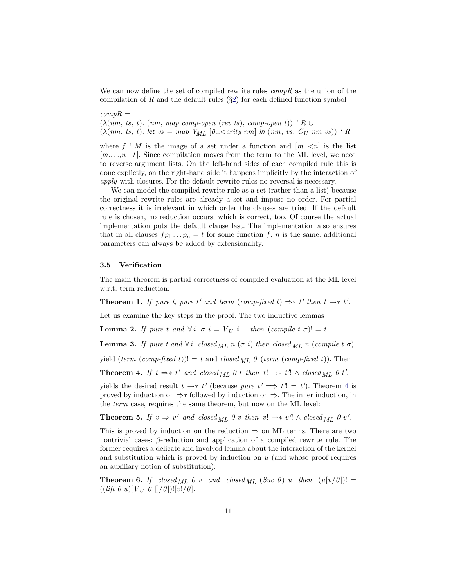We can now define the set of compiled rewrite rules  $compR$  as the union of the compilation of R and the default rules  $(\S2)$  $(\S2)$  for each defined function symbol

 $compR =$  $(\lambda(nm, ts, t).$  (nm, map comp-open (rev ts), comp-open t)) ' R ∪  $(\lambda(nm, ts, t))$ . let  $vs = map$   $V_{ML}$   $[0..\langle arity \space nm]$  in  $(nm, vs, C_U \space nm \space vs)$   $\rangle$  ' R

where  $f \circ M$  is the image of a set under a function and  $[m..\leq n]$  is the list  $[m, \ldots, n-1]$ . Since compilation moves from the term to the ML level, we need to reverse argument lists. On the left-hand sides of each compiled rule this is done explictly, on the right-hand side it happens implicitly by the interaction of apply with closures. For the default rewrite rules no reversal is necessary.

We can model the compiled rewrite rule as a set (rather than a list) because the original rewrite rules are already a set and impose no order. For partial correctness it is irrelevant in which order the clauses are tried. If the default rule is chosen, no reduction occurs, which is correct, too. Of course the actual implementation puts the default clause last. The implementation also ensures that in all clauses  $fp_1 \tildot p_n = t$  for some function f, n is the same: additional parameters can always be added by extensionality.

### 3.5 Verification

The main theorem is partial correctness of compiled evaluation at the ML level w.r.t. term reduction:

**Theorem 1.** If pure t, pure t' and term (comp-fixed t)  $\Rightarrow$ \* t' then t  $\rightarrow$ \* t'.

Let us examine the key steps in the proof. The two inductive lemmas

**Lemma 2.** If pure t and  $\forall i$ .  $\sigma i = V_U i$  | then (compile t  $\sigma$ )! = t.

**Lemma 3.** If pure t and  $\forall i$ . closed<sub>ML</sub> n ( $\sigma$  i) then closed<sub>ML</sub> n (compile t  $\sigma$ ).

yield (term (comp-fixed t))! = t and closed<sub>ML</sub>  $\theta$  (term (comp-fixed t)). Then

<span id="page-10-0"></span>**Theorem 4.** If  $t \Rightarrow * t'$  and closed<sub>ML</sub> 0 t then  $t! \rightarrow * t'$ .  $\wedge$  closed<sub>ML</sub> 0 t'.

yields the desired result  $t \rightarrow * t'$  (because pure  $t' \implies t' = t'$ ). Theorem [4](#page-10-0) is proved by induction on ⇒∗ followed by induction on ⇒. The inner induction, in the term case, requires the same theorem, but now on the ML level:

**Theorem 5.** If  $v \Rightarrow v'$  and closed  $ML$  0 v then v!  $\rightarrow * v'$ !  $\land$  closed  $ML$  0 v'.

This is proved by induction on the reduction  $\Rightarrow$  on ML terms. There are two nontrivial cases:  $\beta$ -reduction and application of a compiled rewrite rule. The former requires a delicate and involved lemma about the interaction of the kernel and substitution which is proved by induction on  $u$  (and whose proof requires an auxiliary notion of substitution):

**Theorem 6.** If closed<sub>ML</sub> 0 v and closed<sub>ML</sub> (Suc 0) u then  $(u[v/0$ )! =  $((lift \space 0 \space u)[V_U \space 0 \space [[/0])![v!/0].$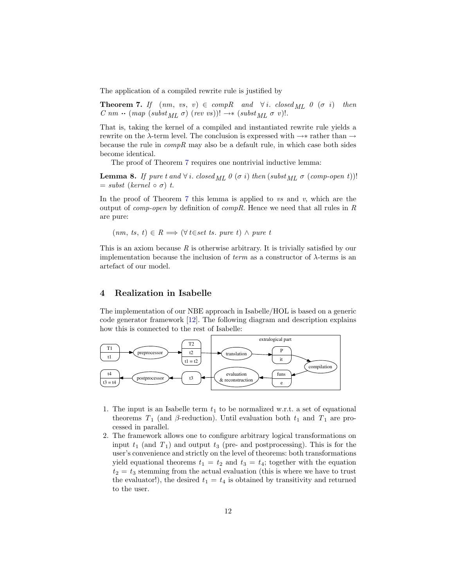<span id="page-11-1"></span>The application of a compiled rewrite rule is justified by

**Theorem 7.** If  $(nm, vs, v) \in compR$  and  $\forall i$ . closed<sub>ML</sub>  $0$  ( $\sigma$  i) then C nm  $\cdot \cdot$  (map (subst<sub>ML</sub>  $\sigma$ ) (rev vs))! →\* (subst<sub>ML</sub>  $\sigma$  v)!.

That is, taking the kernel of a compiled and instantiated rewrite rule yields a rewrite on the  $\lambda$ -term level. The conclusion is expressed with  $\rightarrow$ ∗ rather than  $\rightarrow$ because the rule in  $compR$  may also be a default rule, in which case both sides become identical.

The proof of Theorem [7](#page-11-1) requires one nontrivial inductive lemma:

**Lemma 8.** If pure t and  $\forall i$ . closed  $ML$  0 ( $\sigma$  i) then (subst<sub>ML</sub>  $\sigma$  (comp-open t))!  $=$  subst (kernel  $\circ \sigma$ ) t.

In the proof of Theorem [7](#page-11-1) this lemma is applied to  $vs$  and  $v$ , which are the output of *comp-open* by definition of *compR*. Hence we need that all rules in  $R$ are pure:

$$
(nm, ts, t) \in R \Longrightarrow (\forall t \in set \text{ts. pure } t) \land pure
$$

This is an axiom because  $R$  is otherwise arbitrary. It is trivially satisfied by our implementation because the inclusion of  $term$  as a constructor of  $\lambda$ -terms is an artefact of our model.

# <span id="page-11-0"></span>4 Realization in Isabelle

The implementation of our NBE approach in Isabelle/HOL is based on a generic code generator framework [\[12\]](#page-15-8). The following diagram and description explains how this is connected to the rest of Isabelle:



- 1. The input is an Isabelle term  $t_1$  to be normalized w.r.t. a set of equational theorems  $T_1$  (and  $\beta$ -reduction). Until evaluation both  $t_1$  and  $T_1$  are processed in parallel.
- 2. The framework allows one to configure arbitrary logical transformations on input  $t_1$  (and  $T_1$ ) and output  $t_3$  (pre- and postprocessing). This is for the user's convenience and strictly on the level of theorems: both transformations yield equational theorems  $t_1 = t_2$  and  $t_3 = t_4$ ; together with the equation  $t_2 = t_3$  stemming from the actual evaluation (this is where we have to trust the evaluator!), the desired  $t_1 = t_4$  is obtained by transitivity and returned to the user.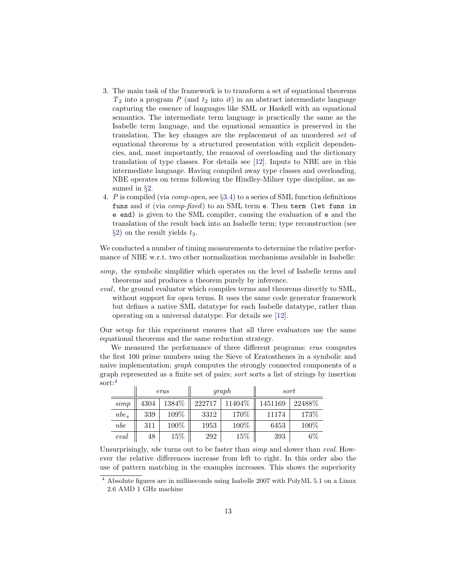- 3. The main task of the framework is to transform a set of equational theorems  $T_2$  into a program P (and  $t_2$  into it) in an abstract intermediate language capturing the essence of languages like SML or Haskell with an equational semantics. The intermediate term language is practically the same as the Isabelle term language, and the equational semantics is preserved in the translation. The key changes are the replacement of an unordered set of equational theorems by a structured presentation with explicit dependencies, and, most importantly, the removal of overloading and the dictionary translation of type classes. For details see [\[12\]](#page-15-8). Inputs to NBE are in this intermediate language. Having compiled away type classes and overloading, NBE operates on terms following the Hindley-Milner type discipline, as assumed in §[2.](#page-1-0)
- 4. P is compiled (via *comp-open*, see  $\S 3.4$ ) to a series of SML function definitions funs and it (via  $comp\text{-}fixed$ ) to an SML term e. Then term (let funs in e end) is given to the SML compiler, causing the evaluation of e and the translation of the result back into an Isabelle term; type reconstruction (see  $\S$ [2\)](#page-1-0) on the result yields  $t_3$ .

We conducted a number of timing measurements to determine the relative performance of NBE w.r.t. two other normalization mechanisms available in Isabelle:

- simp, the symbolic simplifier which operates on the level of Isabelle terms and theorems and produces a theorem purely by inference.
- eval, the ground evaluator which compiles terms and theorems directly to SML, without support for open terms. It uses the same code generator framework but defines a native SML datatype for each Isabelle datatype, rather than operating on a universal datatype. For details see [\[12\]](#page-15-8).

Our setup for this experiment ensures that all three evaluators use the same equational theorems and the same reduction strategy.

We measured the performance of three different programs: eras computes the first 100 prime numbers using the Sieve of Eratosthenes in a symbolic and naive implementation; *graph* computes the strongly connected components of a graph represented as a finite set of pairs; sort sorts a list of strings by insertion sort:<sup>[4](#page-12-0)</sup>  $\mathbf{r}$ 

|         | eras |        | graph  |        | sort    |        |
|---------|------|--------|--------|--------|---------|--------|
| simp    | 4304 | 1384\% | 222717 | 11404% | 1451169 | 22488% |
| $nbe_s$ | 339  | 109%   | 3312   | 170%   | 11174   | 173%   |
| nbe     | 311  | 100%   | 1953   | 100%   | 6453    | 100%   |
| eval    | 48   | $15\%$ | 292    | $15\%$ | 393     | 6%     |

Unsurprisingly, nbe turns out to be faster than  $\text{simp}$  and slower than eval. However the relative differences increase from left to right. In this order also the use of pattern matching in the examples increases. This shows the superiority

<span id="page-12-0"></span><sup>4</sup> Absolute figures are in milliseconds using Isabelle 2007 with PolyML 5.1 on a Linux 2.6 AMD 1 GHz machine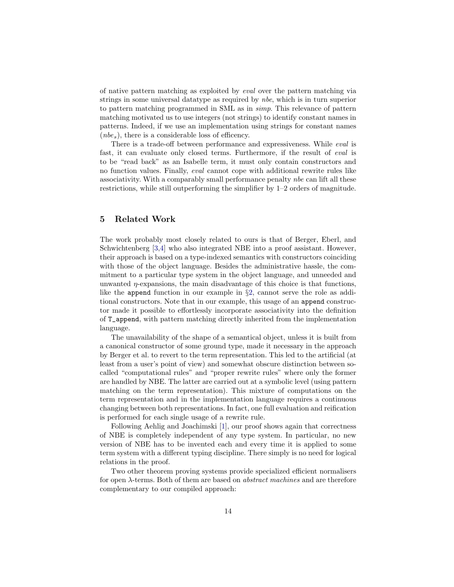of native pattern matching as exploited by eval over the pattern matching via strings in some universal datatype as required by nbe, which is in turn superior to pattern matching programmed in SML as in simp. This relevance of pattern matching motivated us to use integers (not strings) to identify constant names in patterns. Indeed, if we use an implementation using strings for constant names  $(nbe<sub>s</sub>)$ , there is a considerable loss of efficency.

There is a trade-off between performance and expressiveness. While *eval* is fast, it can evaluate only closed terms. Furthermore, if the result of eval is to be "read back" as an Isabelle term, it must only contain constructors and no function values. Finally, eval cannot cope with additional rewrite rules like associativity. With a comparably small performance penalty nbe can lift all these restrictions, while still outperforming the simplifier by 1–2 orders of magnitude.

# <span id="page-13-0"></span>5 Related Work

The work probably most closely related to ours is that of Berger, Eberl, and Schwichtenberg [\[3](#page-14-1)[,4\]](#page-15-9) who also integrated NBE into a proof assistant. However, their approach is based on a type-indexed semantics with constructors coinciding with those of the object language. Besides the administrative hassle, the commitment to a particular type system in the object language, and unneeded and unwanted  $\eta$ -expansions, the main disadvantage of this choice is that functions, like the append function in our example in  $\S$ [2,](#page-1-0) cannot serve the role as additional constructors. Note that in our example, this usage of an append constructor made it possible to effortlessly incorporate associativity into the definition of T\_append, with pattern matching directly inherited from the implementation language.

The unavailability of the shape of a semantical object, unless it is built from a canonical constructor of some ground type, made it necessary in the approach by Berger et al. to revert to the term representation. This led to the artificial (at least from a user's point of view) and somewhat obscure distinction between socalled "computational rules" and "proper rewrite rules" where only the former are handled by NBE. The latter are carried out at a symbolic level (using pattern matching on the term representation). This mixture of computations on the term representation and in the implementation language requires a continuous changing between both representations. In fact, one full evaluation and reification is performed for each single usage of a rewrite rule.

Following Aehlig and Joachimski [\[1\]](#page-14-0), our proof shows again that correctness of NBE is completely independent of any type system. In particular, no new version of NBE has to be invented each and every time it is applied to some term system with a different typing discipline. There simply is no need for logical relations in the proof.

Two other theorem proving systems provide specialized efficient normalisers for open  $\lambda$ -terms. Both of them are based on *abstract machines* and are therefore complementary to our compiled approach: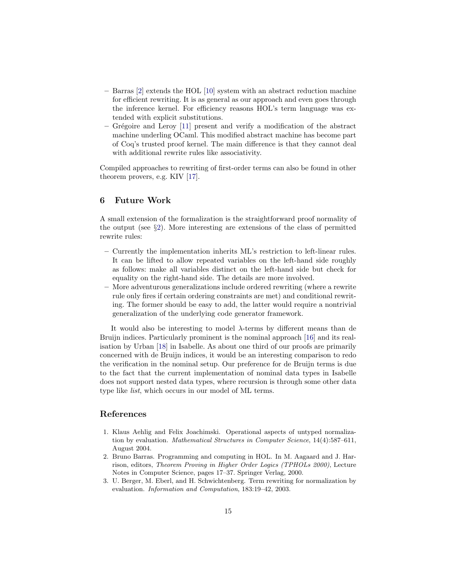- Barras [\[2\]](#page-14-2) extends the HOL [\[10\]](#page-15-10) system with an abstract reduction machine for efficient rewriting. It is as general as our approach and even goes through the inference kernel. For efficiency reasons HOL's term language was extended with explicit substitutions.
- $-$  Grégoire and Leroy [\[11\]](#page-15-11) present and verify a modification of the abstract machine underling OCaml. This modified abstract machine has become part of Coq's trusted proof kernel. The main difference is that they cannot deal with additional rewrite rules like associativity.

Compiled approaches to rewriting of first-order terms can also be found in other theorem provers, e.g. KIV [\[17\]](#page-15-12).

## 6 Future Work

A small extension of the formalization is the straightforward proof normality of the output (see §[2\)](#page-1-0). More interesting are extensions of the class of permitted rewrite rules:

- Currently the implementation inherits ML's restriction to left-linear rules. It can be lifted to allow repeated variables on the left-hand side roughly as follows: make all variables distinct on the left-hand side but check for equality on the right-hand side. The details are more involved.
- More adventurous generalizations include ordered rewriting (where a rewrite rule only fires if certain ordering constraints are met) and conditional rewriting. The former should be easy to add, the latter would require a nontrivial generalization of the underlying code generator framework.

It would also be interesting to model  $\lambda$ -terms by different means than de Bruijn indices. Particularly prominent is the nominal approach [\[16\]](#page-15-13) and its realisation by Urban [\[18\]](#page-15-14) in Isabelle. As about one third of our proofs are primarily concerned with de Bruijn indices, it would be an interesting comparison to redo the verification in the nominal setup. Our preference for de Bruijn terms is due to the fact that the current implementation of nominal data types in Isabelle does not support nested data types, where recursion is through some other data type like list, which occurs in our model of ML terms.

# References

- <span id="page-14-0"></span>1. Klaus Aehlig and Felix Joachimski. Operational aspects of untyped normalization by evaluation. Mathematical Structures in Computer Science, 14(4):587–611, August 2004.
- <span id="page-14-2"></span>2. Bruno Barras. Programming and computing in HOL. In M. Aagaard and J. Harrison, editors, Theorem Proving in Higher Order Logics (TPHOLs 2000), Lecture Notes in Computer Science, pages 17–37. Springer Verlag, 2000.
- <span id="page-14-1"></span>3. U. Berger, M. Eberl, and H. Schwichtenberg. Term rewriting for normalization by evaluation. Information and Computation, 183:19–42, 2003.